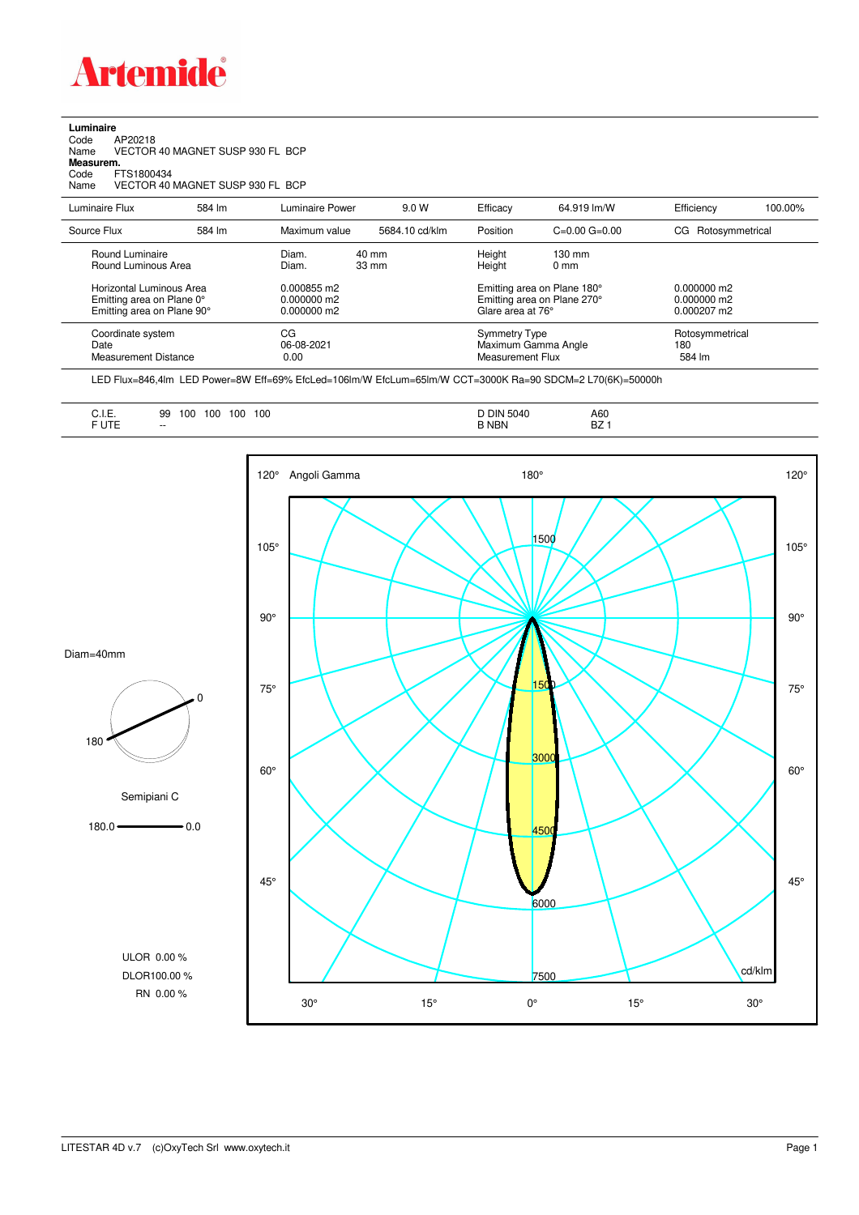

**Luminaire**<br>Code<br>Name Code AP20218 Name VECTOR 40 MAGNET SUSP 930 FL BCP **Measurem.** Code FTS1800434<br>Name VECTOR 40 VECTOR 40 MAGNET SUSP 930 FL BCP

| Luminaire Flux                                    | 584 lm | Luminaire Power          | 9.0 W           | Efficacy                          | 64.919 lm/W                 | Efficiency                       | 100.00% |
|---------------------------------------------------|--------|--------------------------|-----------------|-----------------------------------|-----------------------------|----------------------------------|---------|
| Source Flux                                       | 584 lm | Maximum value            | 5684.10 cd/klm  | Position                          | $C=0.00$ $G=0.00$           | CG Rotosymmetrical               |         |
| Round Luminaire                                   |        | Diam.                    | 40 mm           | Height                            | $130 \text{ mm}$            |                                  |         |
| Round Luminous Area                               |        | Diam.                    | $33 \text{ mm}$ | Height                            | $0 \text{ mm}$              |                                  |         |
| Horizontal Luminous Area                          |        | 0.000855 m2              |                 |                                   | Emitting area on Plane 180° | $0.000000$ m2                    |         |
| Emitting area on Plane 0°                         |        | $0.000000$ m2            |                 |                                   | Emitting area on Plane 270° | $0.000000$ m2                    |         |
| Emitting area on Plane 90°                        |        | $0.000000$ m2            |                 | Glare area at 76°                 |                             | $0.000207 \text{ m}$             |         |
| Coordinate system<br>Date<br>Measurement Distance |        | CG<br>06-08-2021<br>0.00 |                 | Symmetry Type<br>Measurement Flux | Maximum Gamma Angle         | Rotosymmetrical<br>180<br>584 lm |         |

LED Flux=846,4lm LED Power=8W Eff=69% EfcLed=106lm/W EfcLum=65lm/W CCT=3000K Ra=90 SDCM=2 L70(6K)=50000h